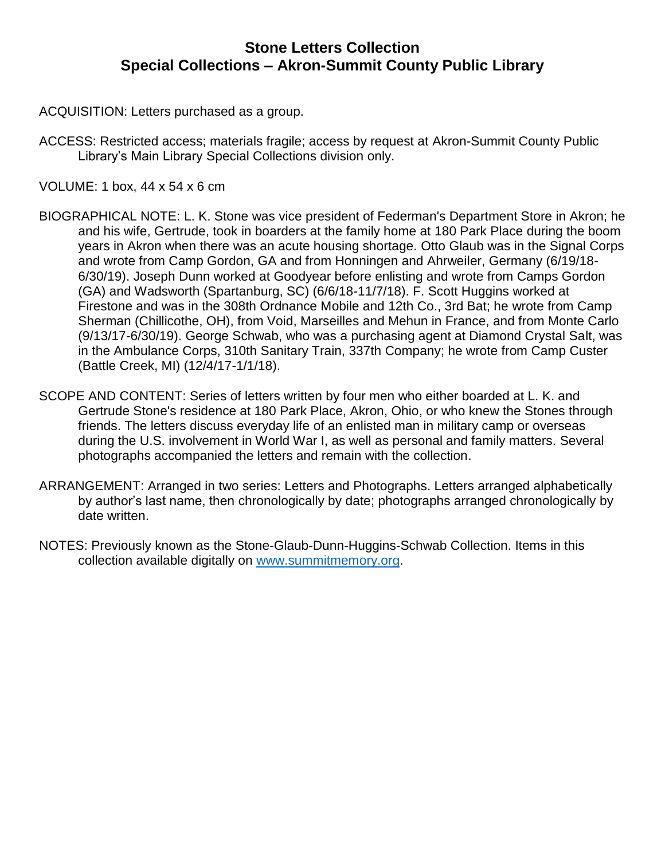# **Stone Letters Collection Special Collections – Akron-Summit County Public Library**

ACQUISITION: Letters purchased as a group.

ACCESS: Restricted access; materials fragile; access by request at Akron-Summit County Public Library's Main Library Special Collections division only.

### VOLUME: 1 box, 44 x 54 x 6 cm

- BIOGRAPHICAL NOTE: L. K. Stone was vice president of Federman's Department Store in Akron; he and his wife, Gertrude, took in boarders at the family home at 180 Park Place during the boom years in Akron when there was an acute housing shortage. Otto Glaub was in the Signal Corps and wrote from Camp Gordon, GA and from Honningen and Ahrweiler, Germany (6/19/18- 6/30/19). Joseph Dunn worked at Goodyear before enlisting and wrote from Camps Gordon (GA) and Wadsworth (Spartanburg, SC) (6/6/18-11/7/18). F. Scott Huggins worked at Firestone and was in the 308th Ordnance Mobile and 12th Co., 3rd Bat; he wrote from Camp Sherman (Chillicothe, OH), from Void, Marseilles and Mehun in France, and from Monte Carlo (9/13/17-6/30/19). George Schwab, who was a purchasing agent at Diamond Crystal Salt, was in the Ambulance Corps, 310th Sanitary Train, 337th Company; he wrote from Camp Custer (Battle Creek, MI) (12/4/17-1/1/18).
- SCOPE AND CONTENT: Series of letters written by four men who either boarded at L. K. and Gertrude Stone's residence at 180 Park Place, Akron, Ohio, or who knew the Stones through friends. The letters discuss everyday life of an enlisted man in military camp or overseas during the U.S. involvement in World War I, as well as personal and family matters. Several photographs accompanied the letters and remain with the collection.
- ARRANGEMENT: Arranged in two series: Letters and Photographs. Letters arranged alphabetically by author's last name, then chronologically by date; photographs arranged chronologically by date written.
- NOTES: Previously known as the Stone-Glaub-Dunn-Huggins-Schwab Collection. Items in this collection available digitally on [www.summitmemory.org.](https://www.summitmemory.org/digital/collection/p17124coll7)